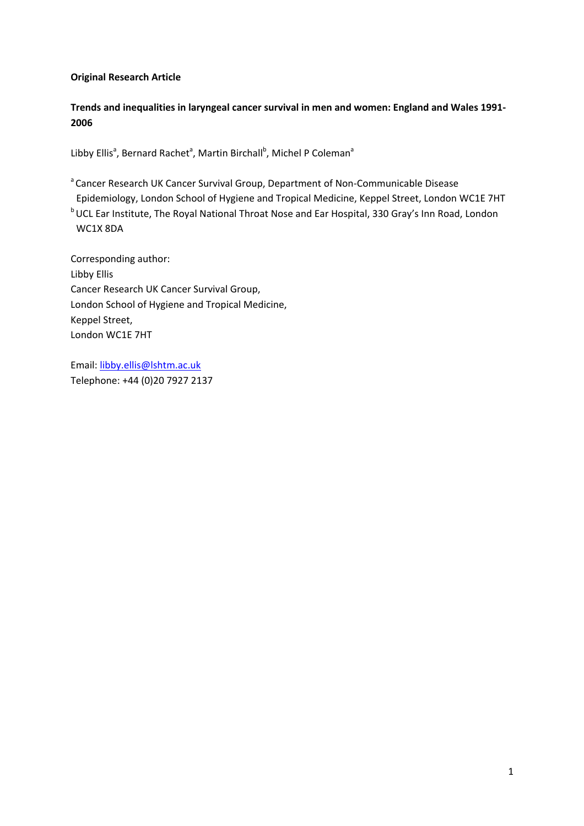# **Original Research Article**

**Trends and inequalities in laryngeal cancer survival in men and women: England and Wales 1991‐ 2006**

Libby Ellis<sup>a</sup>, Bernard Rachet<sup>a</sup>, Martin Birchall<sup>b</sup>, Michel P Coleman<sup>a</sup>

<sup>a</sup> Cancer Research UK Cancer Survival Group, Department of Non-Communicable Disease Epidemiology, London School of Hygiene and Tropical Medicine, Keppel Street, London WC1E 7HT b UCL Ear Institute, The Royal National Throat Nose and Ear Hospital, 330 Gray's Inn Road, London WC1X 8DA

Corresponding author: Libby Ellis Cancer Research UK Cancer Survival Group, London School of Hygiene and Tropical Medicine, Keppel Street, London WC1E 7HT

Email: libby.ellis@lshtm.ac.uk Telephone: +44 (0)20 7927 2137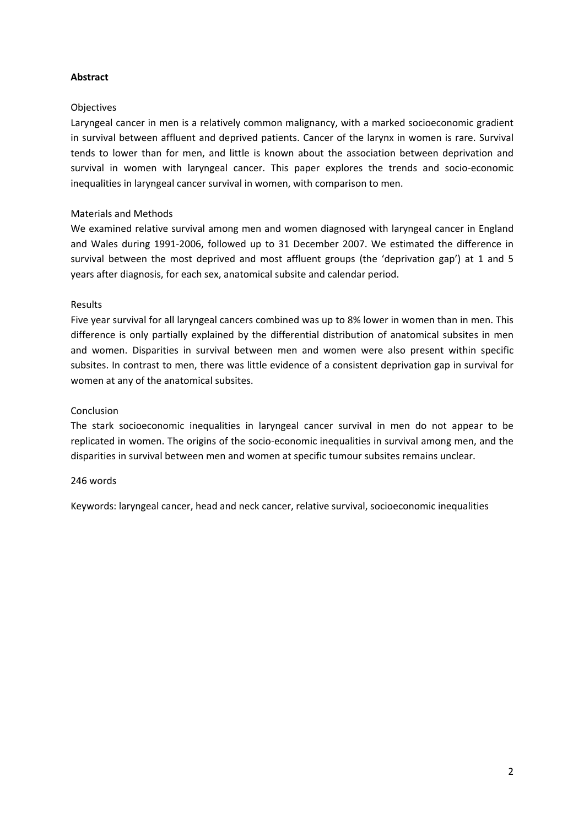# **Abstract**

### **Objectives**

Laryngeal cancer in men is a relatively common malignancy, with a marked socioeconomic gradient in survival between affluent and deprived patients. Cancer of the larynx in women is rare. Survival tends to lower than for men, and little is known about the association between deprivation and survival in women with laryngeal cancer. This paper explores the trends and socio‐economic inequalities in laryngeal cancer survival in women, with comparison to men.

# Materials and Methods

We examined relative survival among men and women diagnosed with laryngeal cancer in England and Wales during 1991‐2006, followed up to 31 December 2007. We estimated the difference in survival between the most deprived and most affluent groups (the 'deprivation gap') at 1 and 5 years after diagnosis, for each sex, anatomical subsite and calendar period.

### Results

Five year survival for all laryngeal cancers combined was up to 8% lower in women than in men. This difference is only partially explained by the differential distribution of anatomical subsites in men and women. Disparities in survival between men and women were also present within specific subsites. In contrast to men, there was little evidence of a consistent deprivation gap in survival for women at any of the anatomical subsites.

# Conclusion

The stark socioeconomic inequalities in laryngeal cancer survival in men do not appear to be replicated in women. The origins of the socio‐economic inequalities in survival among men, and the disparities in survival between men and women at specific tumour subsites remains unclear.

### 246 words

Keywords: laryngeal cancer, head and neck cancer, relative survival, socioeconomic inequalities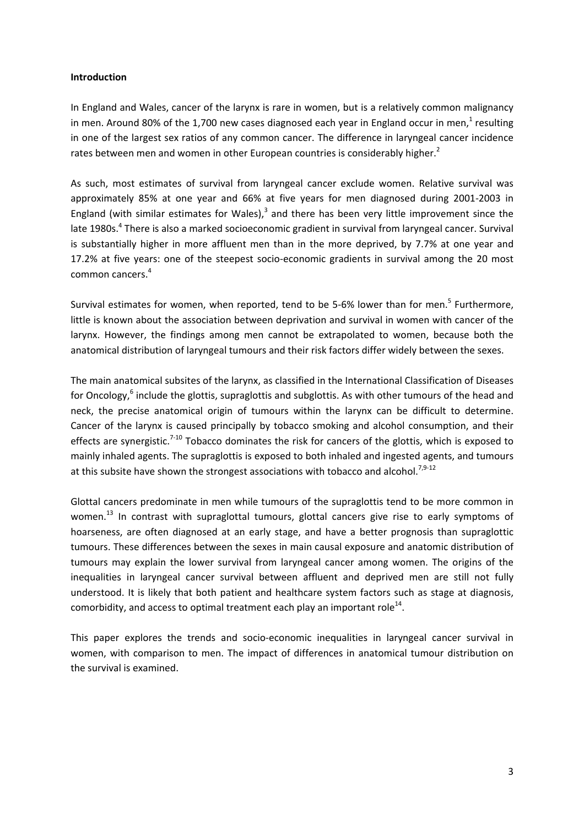### **Introduction**

In England and Wales, cancer of the larynx is rare in women, but is a relatively common malignancy in men. Around 80% of the 1,700 new cases diagnosed each year in England occur in men, $1$  resulting in one of the largest sex ratios of any common cancer. The difference in laryngeal cancer incidence rates between men and women in other European countries is considerably higher.<sup>2</sup>

As such, most estimates of survival from laryngeal cancer exclude women. Relative survival was approximately 85% at one year and 66% at five years for men diagnosed during 2001‐2003 in England (with similar estimates for Wales), $3$  and there has been very little improvement since the late 1980s.<sup>4</sup> There is also a marked socioeconomic gradient in survival from laryngeal cancer. Survival is substantially higher in more affluent men than in the more deprived, by 7.7% at one year and 17.2% at five years: one of the steepest socio‐economic gradients in survival among the 20 most common cancers.<sup>4</sup>

Survival estimates for women, when reported, tend to be 5-6% lower than for men.<sup>5</sup> Furthermore, little is known about the association between deprivation and survival in women with cancer of the larynx. However, the findings among men cannot be extrapolated to women, because both the anatomical distribution of laryngeal tumours and their risk factors differ widely between the sexes.

The main anatomical subsites of the larynx, as classified in the International Classification of Diseases for Oncology,<sup>6</sup> include the glottis, supraglottis and subglottis. As with other tumours of the head and neck, the precise anatomical origin of tumours within the larynx can be difficult to determine. Cancer of the larynx is caused principally by tobacco smoking and alcohol consumption, and their effects are synergistic.<sup>7-10</sup> Tobacco dominates the risk for cancers of the glottis, which is exposed to mainly inhaled agents. The supraglottis is exposed to both inhaled and ingested agents, and tumours at this subsite have shown the strongest associations with tobacco and alcohol.<sup>7,9-12</sup>

Glottal cancers predominate in men while tumours of the supraglottis tend to be more common in women.<sup>13</sup> In contrast with supraglottal tumours, glottal cancers give rise to early symptoms of hoarseness, are often diagnosed at an early stage, and have a better prognosis than supraglottic tumours. These differences between the sexes in main causal exposure and anatomic distribution of tumours may explain the lower survival from laryngeal cancer among women. The origins of the inequalities in laryngeal cancer survival between affluent and deprived men are still not fully understood. It is likely that both patient and healthcare system factors such as stage at diagnosis, comorbidity, and access to optimal treatment each play an important role<sup>14</sup>.

This paper explores the trends and socio‐economic inequalities in laryngeal cancer survival in women, with comparison to men. The impact of differences in anatomical tumour distribution on the survival is examined.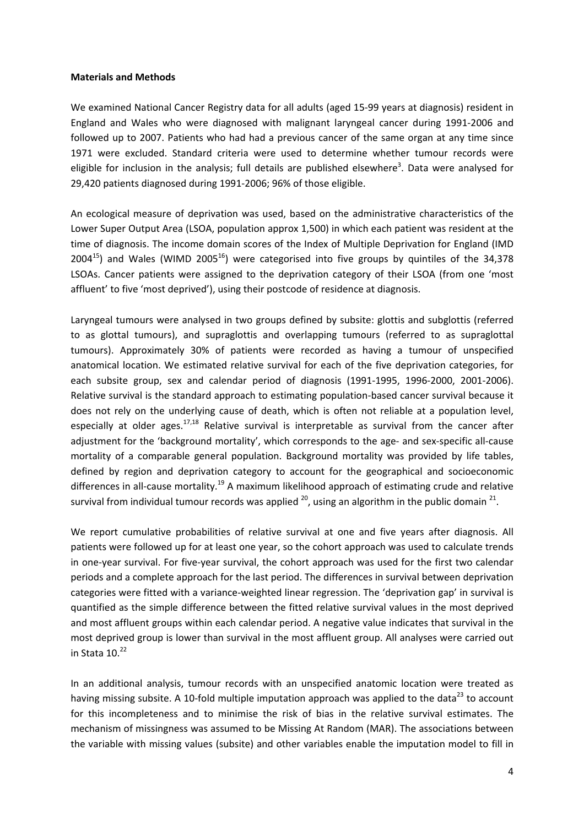### **Materials and Methods**

We examined National Cancer Registry data for all adults (aged 15‐99 years at diagnosis) resident in England and Wales who were diagnosed with malignant laryngeal cancer during 1991‐2006 and followed up to 2007. Patients who had had a previous cancer of the same organ at any time since 1971 were excluded. Standard criteria were used to determine whether tumour records were eligible for inclusion in the analysis; full details are published elsewhere<sup>3</sup>. Data were analysed for 29,420 patients diagnosed during 1991‐2006; 96% of those eligible.

An ecological measure of deprivation was used, based on the administrative characteristics of the Lower Super Output Area (LSOA, population approx 1,500) in which each patient was resident at the time of diagnosis. The income domain scores of the Index of Multiple Deprivation for England (IMD  $2004^{15}$ ) and Wales (WIMD 2005<sup>16</sup>) were categorised into five groups by quintiles of the 34,378 LSOAs. Cancer patients were assigned to the deprivation category of their LSOA (from one 'most affluent' to five 'most deprived'), using their postcode of residence at diagnosis.

Laryngeal tumours were analysed in two groups defined by subsite: glottis and subglottis (referred to as glottal tumours), and supraglottis and overlapping tumours (referred to as supraglottal tumours). Approximately 30% of patients were recorded as having a tumour of unspecified anatomical location. We estimated relative survival for each of the five deprivation categories, for each subsite group, sex and calendar period of diagnosis (1991‐1995, 1996‐2000, 2001‐2006). Relative survival is the standard approach to estimating population‐based cancer survival because it does not rely on the underlying cause of death, which is often not reliable at a population level, especially at older ages.<sup>17,18</sup> Relative survival is interpretable as survival from the cancer after adjustment for the 'background mortality', which corresponds to the age- and sex-specific all-cause mortality of a comparable general population. Background mortality was provided by life tables, defined by region and deprivation category to account for the geographical and socioeconomic differences in all-cause mortality.<sup>19</sup> A maximum likelihood approach of estimating crude and relative survival from individual tumour records was applied  $^{20}$ , using an algorithm in the public domain  $^{21}$ .

We report cumulative probabilities of relative survival at one and five years after diagnosis. All patients were followed up for at least one year, so the cohort approach was used to calculate trends in one‐year survival. For five‐year survival, the cohort approach was used for the first two calendar periods and a complete approach for the last period. The differences in survival between deprivation categories were fitted with a variance‐weighted linear regression. The 'deprivation gap' in survival is quantified as the simple difference between the fitted relative survival values in the most deprived and most affluent groups within each calendar period. A negative value indicates that survival in the most deprived group is lower than survival in the most affluent group. All analyses were carried out in Stata  $10.<sup>22</sup>$ 

In an additional analysis, tumour records with an unspecified anatomic location were treated as having missing subsite. A 10-fold multiple imputation approach was applied to the data<sup>23</sup> to account for this incompleteness and to minimise the risk of bias in the relative survival estimates. The mechanism of missingness was assumed to be Missing At Random (MAR). The associations between the variable with missing values (subsite) and other variables enable the imputation model to fill in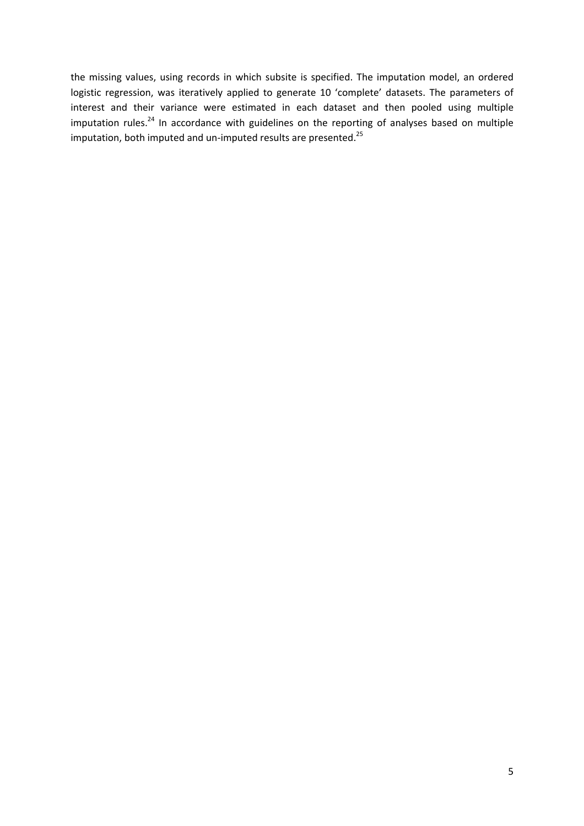the missing values, using records in which subsite is specified. The imputation model, an ordered logistic regression, was iteratively applied to generate 10 'complete' datasets. The parameters of interest and their variance were estimated in each dataset and then pooled using multiple imputation rules. $^{24}$  In accordance with guidelines on the reporting of analyses based on multiple imputation, both imputed and un-imputed results are presented. $^{25}$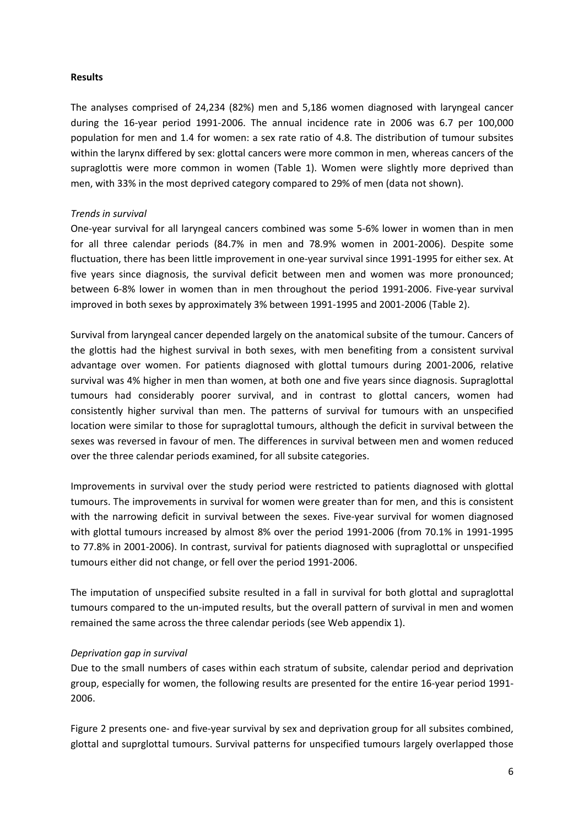### **Results**

The analyses comprised of 24,234 (82%) men and 5,186 women diagnosed with laryngeal cancer during the 16‐year period 1991‐2006. The annual incidence rate in 2006 was 6.7 per 100,000 population for men and 1.4 for women: a sex rate ratio of 4.8. The distribution of tumour subsites within the larynx differed by sex: glottal cancers were more common in men, whereas cancers of the supraglottis were more common in women (Table 1). Women were slightly more deprived than men, with 33% in the most deprived category compared to 29% of men (data not shown).

### *Trends in survival*

One‐year survival for all laryngeal cancers combined was some 5‐6% lower in women than in men for all three calendar periods (84.7% in men and 78.9% women in 2001‐2006). Despite some fluctuation, there has been little improvement in one-year survival since 1991-1995 for either sex. At five years since diagnosis, the survival deficit between men and women was more pronounced; between 6-8% lower in women than in men throughout the period 1991-2006. Five-year survival improved in both sexes by approximately 3% between 1991‐1995 and 2001‐2006 (Table 2).

Survival from laryngeal cancer depended largely on the anatomical subsite of the tumour. Cancers of the glottis had the highest survival in both sexes, with men benefiting from a consistent survival advantage over women. For patients diagnosed with glottal tumours during 2001‐2006, relative survival was 4% higher in men than women, at both one and five years since diagnosis. Supraglottal tumours had considerably poorer survival, and in contrast to glottal cancers, women had consistently higher survival than men. The patterns of survival for tumours with an unspecified location were similar to those for supraglottal tumours, although the deficit in survival between the sexes was reversed in favour of men. The differences in survival between men and women reduced over the three calendar periods examined, for all subsite categories.

Improvements in survival over the study period were restricted to patients diagnosed with glottal tumours. The improvements in survival for women were greater than for men, and this is consistent with the narrowing deficit in survival between the sexes. Five-year survival for women diagnosed with glottal tumours increased by almost 8% over the period 1991‐2006 (from 70.1% in 1991‐1995 to 77.8% in 2001‐2006). In contrast, survival for patients diagnosed with supraglottal or unspecified tumours either did not change, or fell over the period 1991‐2006.

The imputation of unspecified subsite resulted in a fall in survival for both glottal and supraglottal tumours compared to the un‐imputed results, but the overall pattern of survival in men and women remained the same across the three calendar periods (see Web appendix 1).

### *Deprivation gap in survival*

Due to the small numbers of cases within each stratum of subsite, calendar period and deprivation group, especially for women, the following results are presented for the entire 16‐year period 1991‐ 2006.

Figure 2 presents one‐ and five‐year survival by sex and deprivation group for all subsites combined, glottal and suprglottal tumours. Survival patterns for unspecified tumours largely overlapped those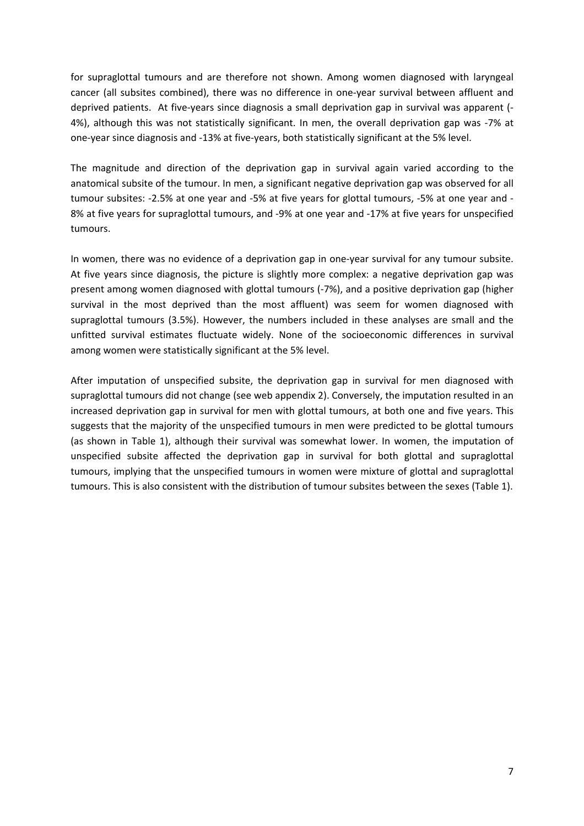for supraglottal tumours and are therefore not shown. Among women diagnosed with laryngeal cancer (all subsites combined), there was no difference in one‐year survival between affluent and deprived patients. At five‐years since diagnosis a small deprivation gap in survival was apparent (‐ 4%), although this was not statistically significant. In men, the overall deprivation gap was -7% at one‐year since diagnosis and ‐13% at five‐years, both statistically significant at the 5% level.

The magnitude and direction of the deprivation gap in survival again varied according to the anatomical subsite of the tumour. In men, a significant negative deprivation gap was observed for all tumour subsites: ‐2.5% at one year and ‐5% at five years for glottal tumours, ‐5% at one year and ‐ 8% at five years for supraglottal tumours, and -9% at one year and -17% at five years for unspecified tumours.

In women, there was no evidence of a deprivation gap in one-year survival for any tumour subsite. At five years since diagnosis, the picture is slightly more complex: a negative deprivation gap was present among women diagnosed with glottal tumours (‐7%), and a positive deprivation gap (higher survival in the most deprived than the most affluent) was seem for women diagnosed with supraglottal tumours (3.5%). However, the numbers included in these analyses are small and the unfitted survival estimates fluctuate widely. None of the socioeconomic differences in survival among women were statistically significant at the 5% level.

After imputation of unspecified subsite, the deprivation gap in survival for men diagnosed with supraglottal tumours did not change (see web appendix 2). Conversely, the imputation resulted in an increased deprivation gap in survival for men with glottal tumours, at both one and five years. This suggests that the majority of the unspecified tumours in men were predicted to be glottal tumours (as shown in Table 1), although their survival was somewhat lower. In women, the imputation of unspecified subsite affected the deprivation gap in survival for both glottal and supraglottal tumours, implying that the unspecified tumours in women were mixture of glottal and supraglottal tumours. This is also consistent with the distribution of tumour subsites between the sexes (Table 1).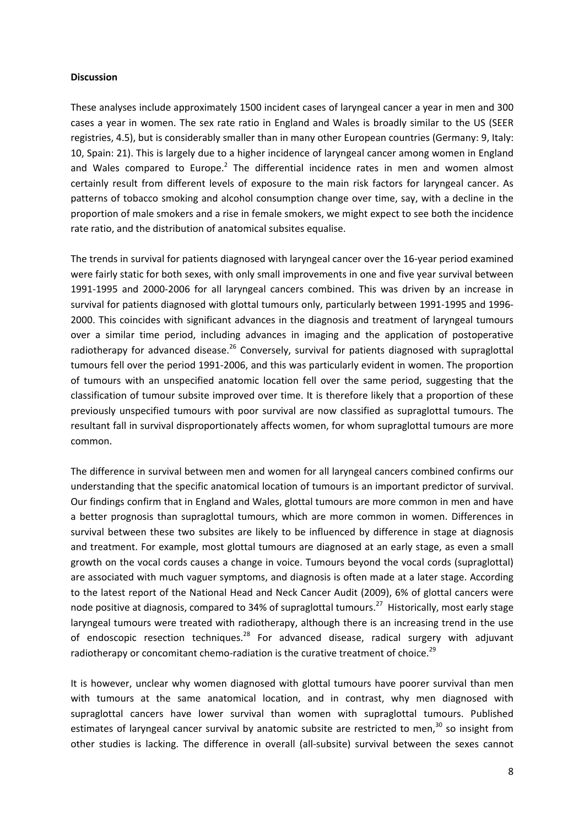### **Discussion**

These analyses include approximately 1500 incident cases of laryngeal cancer a year in men and 300 cases a year in women. The sex rate ratio in England and Wales is broadly similar to the US (SEER registries, 4.5), but is considerably smaller than in many other European countries (Germany: 9, Italy: 10, Spain: 21). This is largely due to a higher incidence of laryngeal cancer among women in England and Wales compared to Europe.<sup>2</sup> The differential incidence rates in men and women almost certainly result from different levels of exposure to the main risk factors for laryngeal cancer. As patterns of tobacco smoking and alcohol consumption change over time, say, with a decline in the proportion of male smokers and a rise in female smokers, we might expect to see both the incidence rate ratio, and the distribution of anatomical subsites equalise.

The trends in survival for patients diagnosed with laryngeal cancer over the 16‐year period examined were fairly static for both sexes, with only small improvements in one and five year survival between 1991‐1995 and 2000‐2006 for all laryngeal cancers combined. This was driven by an increase in survival for patients diagnosed with glottal tumours only, particularly between 1991-1995 and 1996-2000. This coincides with significant advances in the diagnosis and treatment of laryngeal tumours over a similar time period, including advances in imaging and the application of postoperative radiotherapy for advanced disease.<sup>26</sup> Conversely, survival for patients diagnosed with supraglottal tumours fell over the period 1991‐2006, and this was particularly evident in women. The proportion of tumours with an unspecified anatomic location fell over the same period, suggesting that the classification of tumour subsite improved over time. It is therefore likely that a proportion of these previously unspecified tumours with poor survival are now classified as supraglottal tumours. The resultant fall in survival disproportionately affects women, for whom supraglottal tumours are more common.

The difference in survival between men and women for all laryngeal cancers combined confirms our understanding that the specific anatomical location of tumours is an important predictor of survival. Our findings confirm that in England and Wales, glottal tumours are more common in men and have a better prognosis than supraglottal tumours, which are more common in women. Differences in survival between these two subsites are likely to be influenced by difference in stage at diagnosis and treatment. For example, most glottal tumours are diagnosed at an early stage, as even a small growth on the vocal cords causes a change in voice. Tumours beyond the vocal cords (supraglottal) are associated with much vaguer symptoms, and diagnosis is often made at a later stage. According to the latest report of the National Head and Neck Cancer Audit (2009), 6% of glottal cancers were node positive at diagnosis, compared to 34% of supraglottal tumours.<sup>27</sup> Historically, most early stage laryngeal tumours were treated with radiotherapy, although there is an increasing trend in the use of endoscopic resection techniques. $28$  For advanced disease, radical surgery with adjuvant radiotherapy or concomitant chemo-radiation is the curative treatment of choice.<sup>29</sup>

It is however, unclear why women diagnosed with glottal tumours have poorer survival than men with tumours at the same anatomical location, and in contrast, why men diagnosed with supraglottal cancers have lower survival than women with supraglottal tumours. Published estimates of laryngeal cancer survival by anatomic subsite are restricted to men, $30$  so insight from other studies is lacking. The difference in overall (all‐subsite) survival between the sexes cannot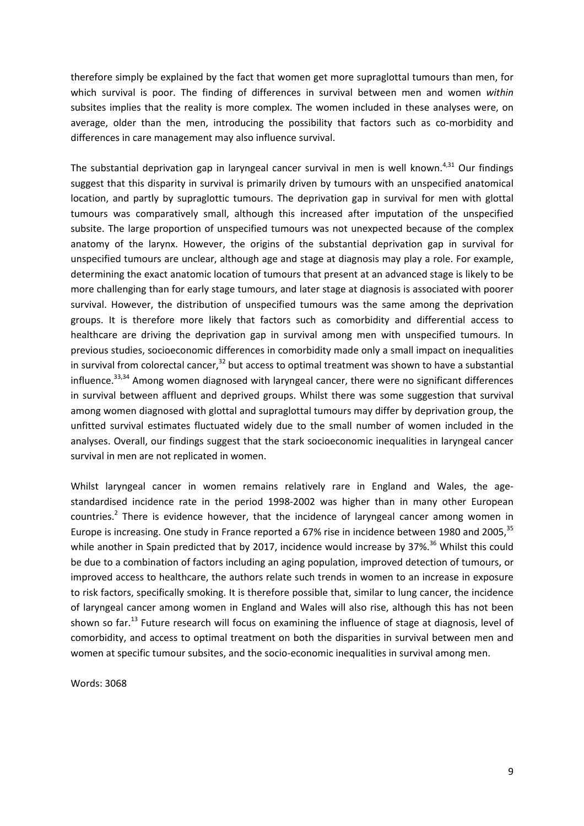therefore simply be explained by the fact that women get more supraglottal tumours than men, for which survival is poor. The finding of differences in survival between men and women *within* subsites implies that the reality is more complex. The women included in these analyses were, on average, older than the men, introducing the possibility that factors such as co-morbidity and differences in care management may also influence survival.

The substantial deprivation gap in laryngeal cancer survival in men is well known.<sup>4,31</sup> Our findings suggest that this disparity in survival is primarily driven by tumours with an unspecified anatomical location, and partly by supraglottic tumours. The deprivation gap in survival for men with glottal tumours was comparatively small, although this increased after imputation of the unspecified subsite. The large proportion of unspecified tumours was not unexpected because of the complex anatomy of the larynx. However, the origins of the substantial deprivation gap in survival for unspecified tumours are unclear, although age and stage at diagnosis may play a role. For example, determining the exact anatomic location of tumours that present at an advanced stage is likely to be more challenging than for early stage tumours, and later stage at diagnosis is associated with poorer survival. However, the distribution of unspecified tumours was the same among the deprivation groups. It is therefore more likely that factors such as comorbidity and differential access to healthcare are driving the deprivation gap in survival among men with unspecified tumours. In previous studies, socioeconomic differences in comorbidity made only a small impact on inequalities in survival from colorectal cancer, $32$  but access to optimal treatment was shown to have a substantial influence.<sup>33,34</sup> Among women diagnosed with laryngeal cancer, there were no significant differences in survival between affluent and deprived groups. Whilst there was some suggestion that survival among women diagnosed with glottal and supraglottal tumours may differ by deprivation group, the unfitted survival estimates fluctuated widely due to the small number of women included in the analyses. Overall, our findings suggest that the stark socioeconomic inequalities in laryngeal cancer survival in men are not replicated in women.

Whilst laryngeal cancer in women remains relatively rare in England and Wales, the agestandardised incidence rate in the period 1998‐2002 was higher than in many other European countries.<sup>2</sup> There is evidence however, that the incidence of laryngeal cancer among women in Europe is increasing. One study in France reported a 67% rise in incidence between 1980 and 2005, <sup>35</sup> while another in Spain predicted that by 2017, incidence would increase by 37%.<sup>36</sup> Whilst this could be due to a combination of factors including an aging population, improved detection of tumours, or improved access to healthcare, the authors relate such trends in women to an increase in exposure to risk factors, specifically smoking. It is therefore possible that, similar to lung cancer, the incidence of laryngeal cancer among women in England and Wales will also rise, although this has not been shown so far.<sup>13</sup> Future research will focus on examining the influence of stage at diagnosis, level of comorbidity, and access to optimal treatment on both the disparities in survival between men and women at specific tumour subsites, and the socio-economic inequalities in survival among men.

Words: 3068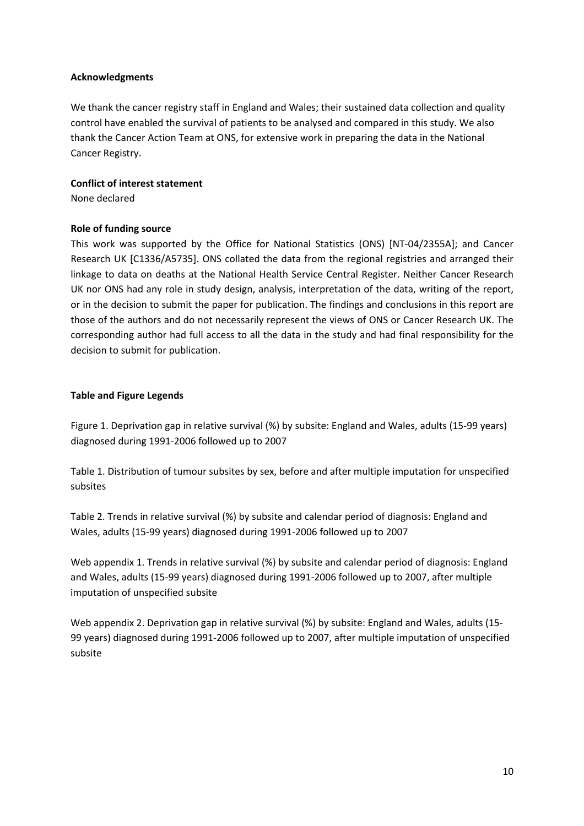# **Acknowledgments**

We thank the cancer registry staff in England and Wales; their sustained data collection and quality control have enabled the survival of patients to be analysed and compared in this study. We also thank the Cancer Action Team at ONS, for extensive work in preparing the data in the National Cancer Registry.

# **Conflict of interest statement**

None declared

# **Role of funding source**

This work was supported by the Office for National Statistics (ONS) [NT‐04/2355A]; and Cancer Research UK [C1336/A5735]. ONS collated the data from the regional registries and arranged their linkage to data on deaths at the National Health Service Central Register. Neither Cancer Research UK nor ONS had any role in study design, analysis, interpretation of the data, writing of the report, or in the decision to submit the paper for publication. The findings and conclusions in this report are those of the authors and do not necessarily represent the views of ONS or Cancer Research UK. The corresponding author had full access to all the data in the study and had final responsibility for the decision to submit for publication.

# **Table and Figure Legends**

Figure 1. Deprivation gap in relative survival (%) by subsite: England and Wales, adults (15‐99 years) diagnosed during 1991‐2006 followed up to 2007

Table 1. Distribution of tumour subsites by sex, before and after multiple imputation for unspecified subsites

Table 2. Trends in relative survival (%) by subsite and calendar period of diagnosis: England and Wales, adults (15‐99 years) diagnosed during 1991‐2006 followed up to 2007

Web appendix 1. Trends in relative survival (%) by subsite and calendar period of diagnosis: England and Wales, adults (15‐99 years) diagnosed during 1991‐2006 followed up to 2007, after multiple imputation of unspecified subsite

Web appendix 2. Deprivation gap in relative survival (%) by subsite: England and Wales, adults (15-99 years) diagnosed during 1991-2006 followed up to 2007, after multiple imputation of unspecified subsite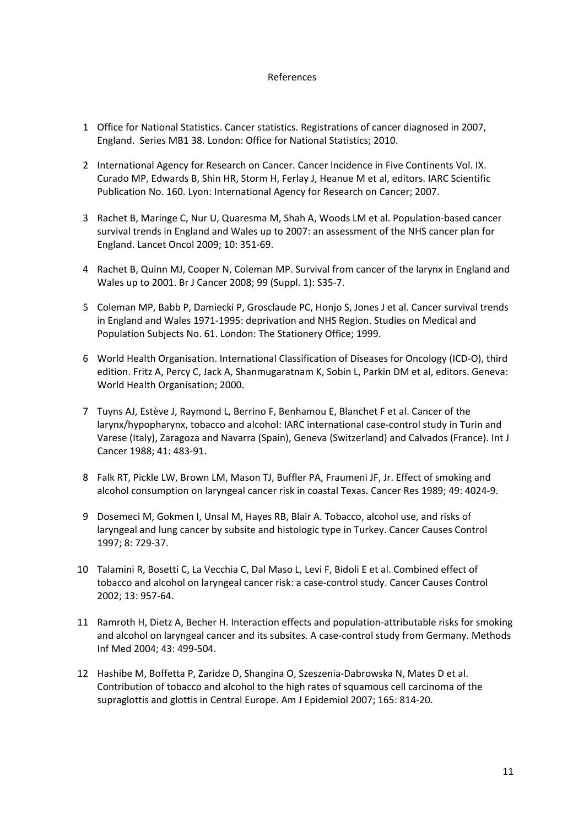### References

- 1 Office for National Statistics. Cancer statistics. Registrations of cancer diagnosed in 2007, England. Series MB1 38. London: Office for National Statistics; 2010.
- 2 International Agency for Research on Cancer. Cancer Incidence in Five Continents Vol. IX. Curado MP, Edwards B, Shin HR, Storm H, Ferlay J, Heanue M et al, editors. IARC Scientific Publication No. 160. Lyon: International Agency for Research on Cancer; 2007.
- 3 Rachet B, Maringe C, Nur U, Quaresma M, Shah A, Woods LM et al. Population-based cancer survival trends in England and Wales up to 2007: an assessment of the NHS cancer plan for England. Lancet Oncol 2009; 10: 351‐69.
- 4 Rachet B, Quinn MJ, Cooper N, Coleman MP. Survival from cancer of the larynx in England and Wales up to 2001. Br J Cancer 2008; 99 (Suppl. 1): S35‐7.
- 5 Coleman MP, Babb P, Damiecki P, Grosclaude PC, Honjo S, Jones J et al. Cancer survival trends in England and Wales 1971‐1995: deprivation and NHS Region. Studies on Medical and Population Subjects No. 61. London: The Stationery Office; 1999.
- 6 World Health Organisation. International Classification of Diseases for Oncology (ICD‐O), third edition. Fritz A, Percy C, Jack A, Shanmugaratnam K, Sobin L, Parkin DM et al, editors. Geneva: World Health Organisation; 2000.
- 7 Tuyns AJ, Estève J, Raymond L, Berrino F, Benhamou E, Blanchet F et al. Cancer of the larynx/hypopharynx, tobacco and alcohol: IARC international case‐control study in Turin and Varese (Italy), Zaragoza and Navarra (Spain), Geneva (Switzerland) and Calvados (France). Int J Cancer 1988; 41: 483‐91.
- 8 Falk RT, Pickle LW, Brown LM, Mason TJ, Buffler PA, Fraumeni JF, Jr. Effect of smoking and alcohol consumption on laryngeal cancer risk in coastal Texas. Cancer Res 1989; 49: 4024‐9.
- 9 Dosemeci M, Gokmen I, Unsal M, Hayes RB, Blair A. Tobacco, alcohol use, and risks of laryngeal and lung cancer by subsite and histologic type in Turkey. Cancer Causes Control 1997; 8: 729‐37.
- 10 Talamini R, Bosetti C, La Vecchia C, Dal Maso L, Levi F, Bidoli E et al. Combined effect of tobacco and alcohol on laryngeal cancer risk: a case‐control study. Cancer Causes Control 2002; 13: 957‐64.
- 11 Ramroth H, Dietz A, Becher H. Interaction effects and population-attributable risks for smoking and alcohol on laryngeal cancer and its subsites. A case‐control study from Germany. Methods Inf Med 2004; 43: 499‐504.
- 12 Hashibe M, Boffetta P, Zaridze D, Shangina O, Szeszenia‐Dabrowska N, Mates D et al. Contribution of tobacco and alcohol to the high rates of squamous cell carcinoma of the supraglottis and glottis in Central Europe. Am J Epidemiol 2007; 165: 814‐20.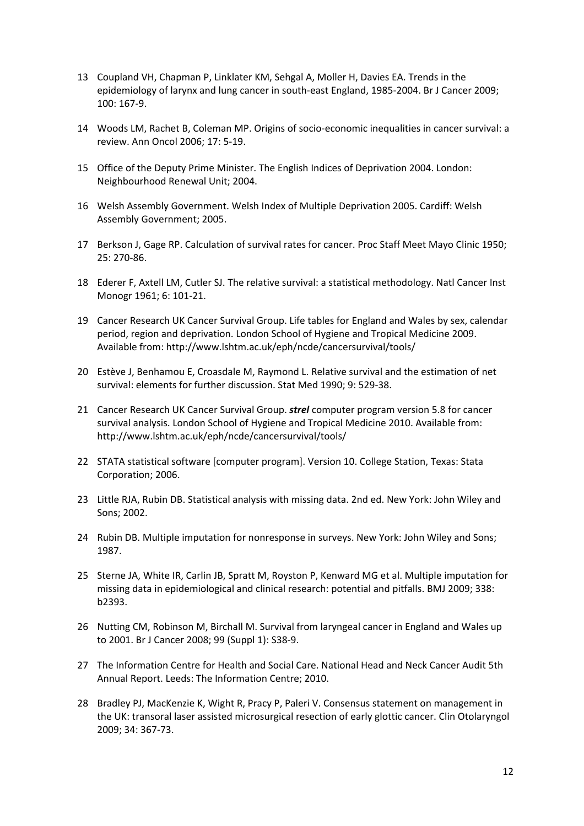- 13 Coupland VH, Chapman P, Linklater KM, Sehgal A, Moller H, Davies EA. Trends in the epidemiology of larynx and lung cancer in south-east England, 1985-2004. Br J Cancer 2009; 100: 167‐9.
- 14 Woods LM, Rachet B, Coleman MP. Origins of socio-economic inequalities in cancer survival: a review. Ann Oncol 2006; 17: 5‐19.
- 15 Office of the Deputy Prime Minister. The English Indices of Deprivation 2004. London: Neighbourhood Renewal Unit; 2004.
- 16 Welsh Assembly Government. Welsh Index of Multiple Deprivation 2005. Cardiff: Welsh Assembly Government; 2005.
- 17 Berkson J, Gage RP. Calculation of survival rates for cancer. Proc Staff Meet Mayo Clinic 1950; 25: 270‐86.
- 18 Ederer F, Axtell LM, Cutler SJ. The relative survival: a statistical methodology. Natl Cancer Inst Monogr 1961; 6: 101‐21.
- 19 Cancer Research UK Cancer Survival Group. Life tables for England and Wales by sex, calendar period, region and deprivation. London School of Hygiene and Tropical Medicine 2009. Available from: http://www.lshtm.ac.uk/eph/ncde/cancersurvival/tools/
- 20 Estève J, Benhamou E, Croasdale M, Raymond L. Relative survival and the estimation of net survival: elements for further discussion. Stat Med 1990; 9: 529‐38.
- 21 Cancer Research UK Cancer Survival Group. *strel* computer program version 5.8 for cancer survival analysis. London School of Hygiene and Tropical Medicine 2010. Available from: http://www.lshtm.ac.uk/eph/ncde/cancersurvival/tools/
- 22 STATA statistical software [computer program]. Version 10. College Station, Texas: Stata Corporation; 2006.
- 23 Little RJA, Rubin DB. Statistical analysis with missing data. 2nd ed. New York: John Wiley and Sons; 2002.
- 24 Rubin DB. Multiple imputation for nonresponse in surveys. New York: John Wiley and Sons; 1987.
- 25 Sterne JA, White IR, Carlin JB, Spratt M, Royston P, Kenward MG et al. Multiple imputation for missing data in epidemiological and clinical research: potential and pitfalls. BMJ 2009; 338: b2393.
- 26 Nutting CM, Robinson M, Birchall M. Survival from laryngeal cancer in England and Wales up to 2001. Br J Cancer 2008; 99 (Suppl 1): S38‐9.
- 27 The Information Centre for Health and Social Care. National Head and Neck Cancer Audit 5th Annual Report. Leeds: The Information Centre; 2010.
- 28 Bradley PJ, MacKenzie K, Wight R, Pracy P, Paleri V. Consensus statement on management in the UK: transoral laser assisted microsurgical resection of early glottic cancer. Clin Otolaryngol 2009; 34: 367‐73.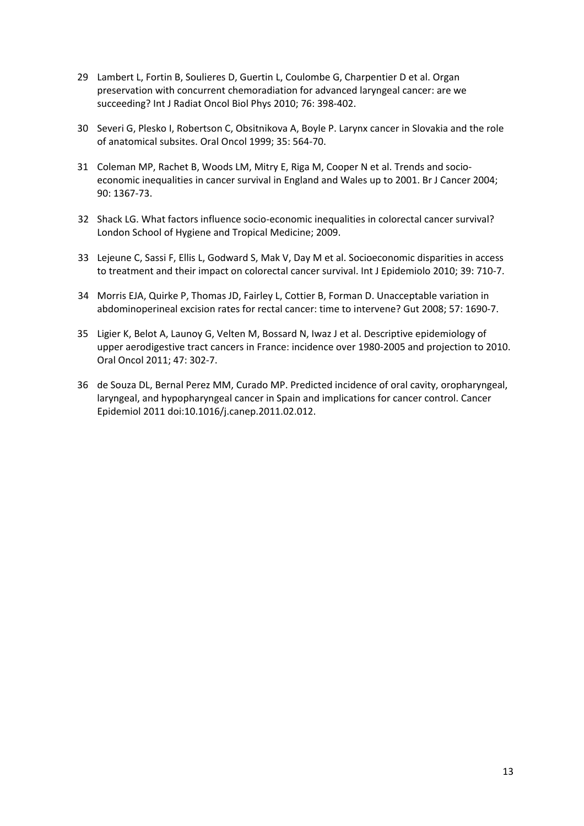- 29 Lambert L, Fortin B, Soulieres D, Guertin L, Coulombe G, Charpentier D et al. Organ preservation with concurrent chemoradiation for advanced laryngeal cancer: are we succeeding? Int J Radiat Oncol Biol Phys 2010; 76: 398‐402.
- 30 Severi G, Plesko I, Robertson C, Obsitnikova A, Boyle P. Larynx cancer in Slovakia and the role of anatomical subsites. Oral Oncol 1999; 35: 564‐70.
- 31 Coleman MP, Rachet B, Woods LM, Mitry E, Riga M, Cooper N et al. Trends and socioeconomic inequalities in cancer survival in England and Wales up to 2001. Br J Cancer 2004; 90: 1367‐73.
- 32 Shack LG. What factors influence socio‐economic inequalities in colorectal cancer survival? London School of Hygiene and Tropical Medicine; 2009.
- 33 Lejeune C, Sassi F, Ellis L, Godward S, Mak V, Day M et al. Socioeconomic disparities in access to treatment and their impact on colorectal cancer survival. Int J Epidemiolo 2010; 39: 710‐7.
- 34 Morris EJA, Quirke P, Thomas JD, Fairley L, Cottier B, Forman D. Unacceptable variation in abdominoperineal excision rates for rectal cancer: time to intervene? Gut 2008; 57: 1690‐7.
- 35 Ligier K, Belot A, Launoy G, Velten M, Bossard N, Iwaz J et al. Descriptive epidemiology of upper aerodigestive tract cancers in France: incidence over 1980‐2005 and projection to 2010. Oral Oncol 2011; 47: 302‐7.
- 36 de Souza DL, Bernal Perez MM, Curado MP. Predicted incidence of oral cavity, oropharyngeal, laryngeal, and hypopharyngeal cancer in Spain and implications for cancer control. Cancer Epidemiol 2011 doi:10.1016/j.canep.2011.02.012.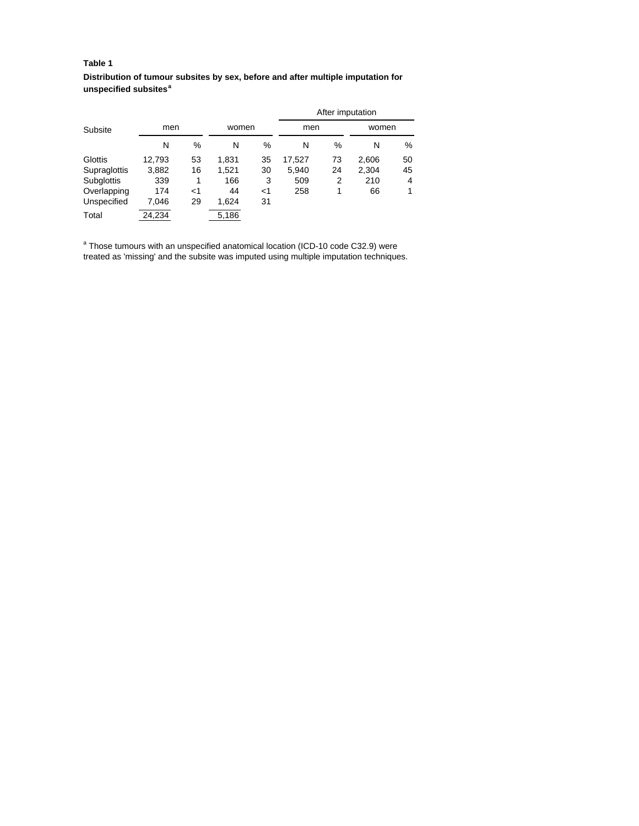### **Table 1**

**Distribution of tumour subsites by sex, before and after multiple imputation for unspecified subsites<sup>a</sup>**

|              |        |    |       |       | After imputation |    |       |    |  |  |
|--------------|--------|----|-------|-------|------------------|----|-------|----|--|--|
| Subsite      | men    |    | women |       | men              |    | women |    |  |  |
|              | N      | %  | N     | %     | N                | %  | Ν     | %  |  |  |
| Glottis      | 12,793 | 53 | 1,831 | 35    | 17,527           | 73 | 2,606 | 50 |  |  |
| Supraglottis | 3,882  | 16 | 1.521 | 30    | 5.940            | 24 | 2,304 | 45 |  |  |
| Subglottis   | 339    |    | 166   | 3     | 509              | 2  | 210   | 4  |  |  |
| Overlapping  | 174    | ا> | 44    | $<$ 1 | 258              | 1  | 66    | 1  |  |  |
| Unspecified  | 7.046  | 29 | 1.624 | 31    |                  |    |       |    |  |  |
| Total        | 24,234 |    | 5,186 |       |                  |    |       |    |  |  |

<sup>a</sup> Those tumours with an unspecified anatomical location (ICD-10 code C32.9) were treated as 'missing' and the subsite was imputed using multiple imputation techniques.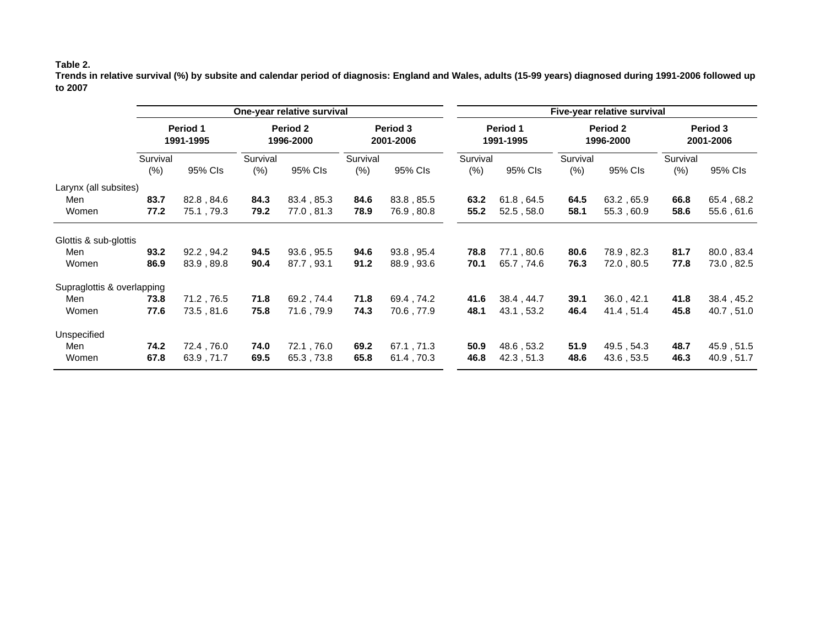### **Table 2.**

**Trends in relative survival (%) by subsite and calendar period of diagnosis: England and Wales, adults (15-99 years) diagnosed during 1991-2006 followed up to 2007** 

|                            | One-year relative survival |            |                       |             |                       |            | Five-year relative survival |            |                       |            |                       |            |  |
|----------------------------|----------------------------|------------|-----------------------|-------------|-----------------------|------------|-----------------------------|------------|-----------------------|------------|-----------------------|------------|--|
|                            | Period 1<br>1991-1995      |            | Period 2<br>1996-2000 |             | Period 3<br>2001-2006 |            | Period 1<br>1991-1995       |            | Period 2<br>1996-2000 |            | Period 3<br>2001-2006 |            |  |
|                            | Survival<br>(% )           | 95% CIs    | Survival<br>(% )      | 95% Cls     | Survival<br>(% )      | 95% Cls    | Survival<br>(% )            | 95% CIs    | Survival<br>(% )      | 95% Cls    | Survival<br>(% )      | 95% CIs    |  |
| Larynx (all subsites)      |                            |            |                       |             |                       |            |                             |            |                       |            |                       |            |  |
| Men                        | 83.7                       | 82.8, 84.6 | 84.3                  | 83.4, 85.3  | 84.6                  | 83.8, 85.5 | 63.2                        | 61.8, 64.5 | 64.5                  | 63.2, 65.9 | 66.8                  | 65.4, 68.2 |  |
| Women                      | 77.2                       | 75.1, 79.3 | 79.2                  | 77.0,81.3   | 78.9                  | 76.9, 80.8 | 55.2                        | 52.5, 58.0 | 58.1                  | 55.3, 60.9 | 58.6                  | 55.6, 61.6 |  |
| Glottis & sub-glottis      |                            |            |                       |             |                       |            |                             |            |                       |            |                       |            |  |
| Men                        | 93.2                       | 92.2, 94.2 | 94.5                  | 93.6, 95.5  | 94.6                  | 93.8, 95.4 | 78.8                        | 77.1,80.6  | 80.6                  | 78.9, 82.3 | 81.7                  | 80.0, 83.4 |  |
| Women                      | 86.9                       | 83.9, 89.8 | 90.4                  | 87.7, 93.1  | 91.2                  | 88.9, 93.6 | 70.1                        | 65.7, 74.6 | 76.3                  | 72.0,80.5  | 77.8                  | 73.0, 82.5 |  |
| Supraglottis & overlapping |                            |            |                       |             |                       |            |                             |            |                       |            |                       |            |  |
| Men                        | 73.8                       | 71.2, 76.5 | 71.8                  | 69.2, 74.4  | 71.8                  | 69.4, 74.2 | 41.6                        | 38.4, 44.7 | 39.1                  | 36.0, 42.1 | 41.8                  | 38.4, 45.2 |  |
| Women                      | 77.6                       | 73.5, 81.6 | 75.8                  | 71.6, 79.9  | 74.3                  | 70.6, 77.9 | 48.1                        | 43.1, 53.2 | 46.4                  | 41.4, 51.4 | 45.8                  | 40.7,51.0  |  |
| Unspecified                |                            |            |                       |             |                       |            |                             |            |                       |            |                       |            |  |
| Men                        | 74.2                       | 72.4,76.0  | 74.0                  | 72.1 , 76.0 | 69.2                  | 67.1, 71.3 | 50.9                        | 48.6, 53.2 | 51.9                  | 49.5, 54.3 | 48.7                  | 45.9, 51.5 |  |
| Women                      | 67.8                       | 63.9, 71.7 | 69.5                  | 65.3, 73.8  | 65.8                  | 61.4, 70.3 | 46.8                        | 42.3, 51.3 | 48.6                  | 43.6, 53.5 | 46.3                  | 40.9, 51.7 |  |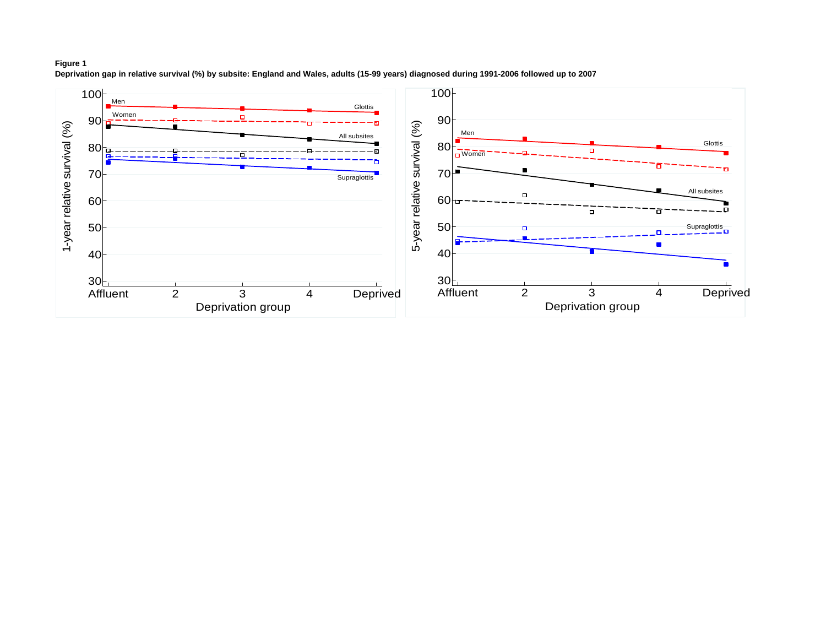

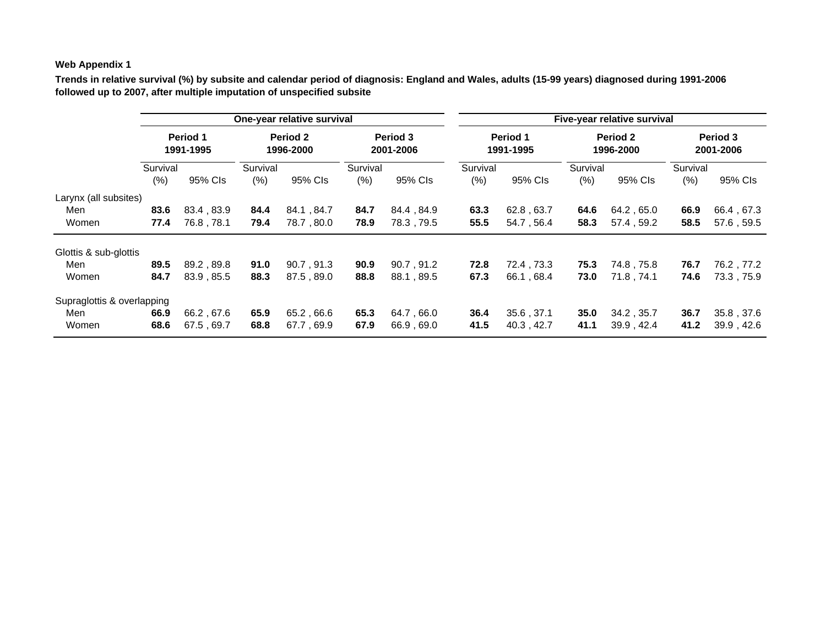# **Web Appendix 1**

**Trends in relative survival (%) by subsite and calendar period of diagnosis: England and Wales, adults (15-99 years) diagnosed during 1991-2006 followed up to 2007, after multiple imputation of unspecified subsite**

|                            | One-year relative survival |            |                       |            |                       |            |                              | Five-year relative survival |                       |             |                       |            |  |  |
|----------------------------|----------------------------|------------|-----------------------|------------|-----------------------|------------|------------------------------|-----------------------------|-----------------------|-------------|-----------------------|------------|--|--|
|                            | Period 1<br>1991-1995      |            | Period 2<br>1996-2000 |            | Period 3<br>2001-2006 |            | <b>Period 1</b><br>1991-1995 |                             | Period 2<br>1996-2000 |             | Period 3<br>2001-2006 |            |  |  |
|                            | Survival                   |            | Survival              |            | Survival              |            | Survival                     |                             | Survival              |             | Survival              |            |  |  |
|                            | $(\%)$                     | 95% CIs    | (%)                   | 95% CIs    | $(\% )$               | 95% CIs    | $(\%)$                       | 95% CIs                     | (% )                  | 95% CIs     | (% )                  | 95% CIs    |  |  |
| Larynx (all subsites)      |                            |            |                       |            |                       |            |                              |                             |                       |             |                       |            |  |  |
| Men                        | 83.6                       | 83.4, 83.9 | 84.4                  | 84.1.84.7  | 84.7                  | 84.4, 84.9 | 63.3                         | 62.8, 63.7                  | 64.6                  | 64.2, 65.0  | 66.9                  | 66.4, 67.3 |  |  |
| Women                      | 77.4                       | 76.8, 78.1 | 79.4                  | 78.7,80.0  | 78.9                  | 78.3, 79.5 | 55.5                         | 54.7, 56.4                  | 58.3                  | 57.4, 59.2  | 58.5                  | 57.6, 59.5 |  |  |
| Glottis & sub-glottis      |                            |            |                       |            |                       |            |                              |                             |                       |             |                       |            |  |  |
| Men                        | 89.5                       | 89.2, 89.8 | 91.0                  | 90.7, 91.3 | 90.9                  | 90.7, 91.2 | 72.8                         | 72.4, 73.3                  | 75.3                  | 74.8 , 75.8 | 76.7                  | 76.2, 77.2 |  |  |
| Women                      | 84.7                       | 83.9, 85.5 | 88.3                  | 87.5, 89.0 | 88.8                  | 88.1, 89.5 | 67.3                         | 66.1, 68.4                  | 73.0                  | 71.8.74.1   | 74.6                  | 73.3, 75.9 |  |  |
| Supraglottis & overlapping |                            |            |                       |            |                       |            |                              |                             |                       |             |                       |            |  |  |
| Men                        | 66.9                       | 66.2, 67.6 | 65.9                  | 65.2,66.6  | 65.3                  | 64.7,66.0  | 36.4                         | 35.6, 37.1                  | 35.0                  | 34.2, 35.7  | 36.7                  | 35.8, 37.6 |  |  |
| Women                      | 68.6                       | 67.5, 69.7 | 68.8                  | 67.7,69.9  | 67.9                  | 66.9,69.0  | 41.5                         | 40.3, 42.7                  | 41.1                  | 39.9, 42.4  | 41.2                  | 39.9, 42.6 |  |  |